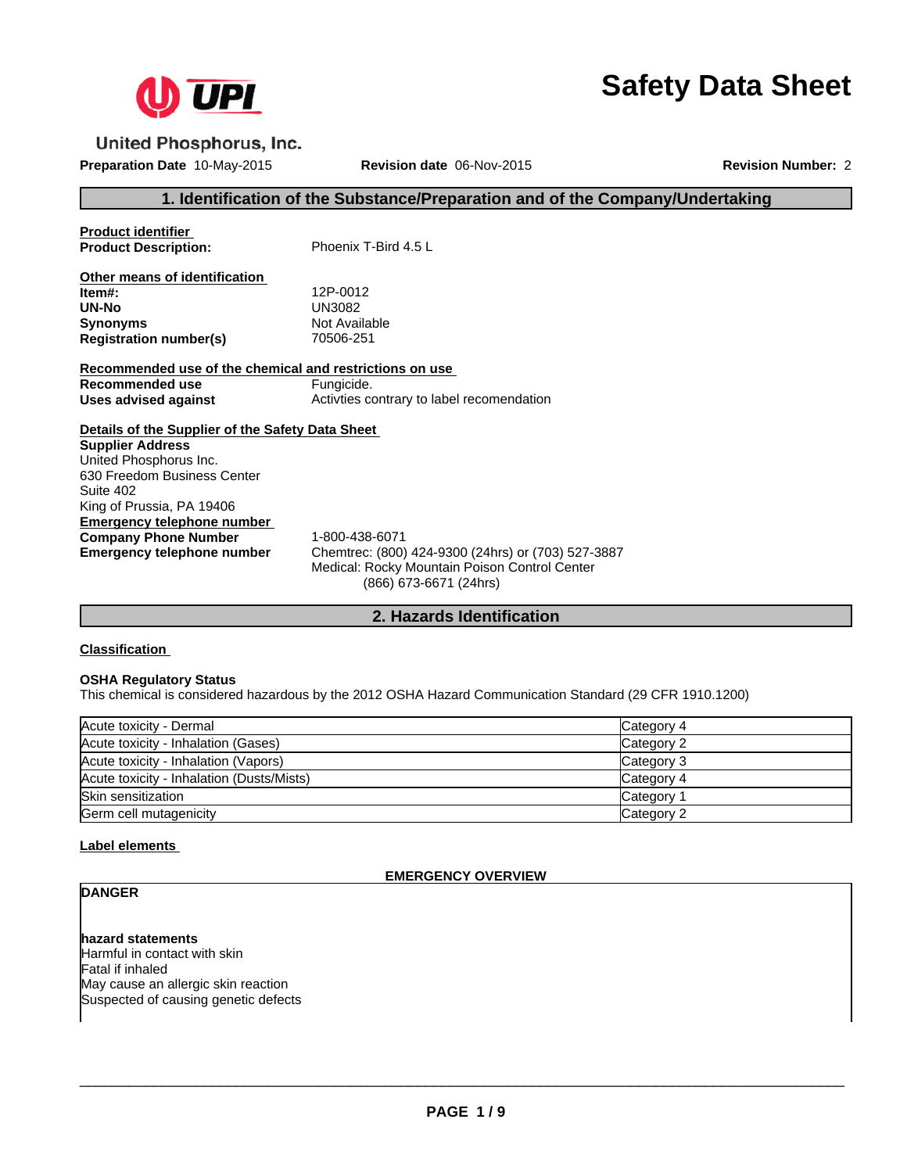

# **Safety Data Sheet**

**United Phosphorus, Inc.** 

**Preparation Date** 10-May-2015 **Revision date** 06-Nov-2015 **Revision Number:** 2

# **1. Identification of the Substance/Preparation and of the Company/Undertaking**

**Product identifier Product Description:** Phoenix T-Bird 4.5 L

**Other means of identification Item#:** 12P-0012<br> **IN-No** UN3082 **UN-No** UN3082 **Synonyms** Not Available<br> **Registration number(s)** 70506-251 **Registration number(s)** 

**Recommended use of the chemical and restrictions on use Recommended use** Fungicide.<br> **Uses advised against** Activities commended against Activties contrary to label recomendation

**Details of the Supplier of the Safety Data Sheet Emergency telephone number**<br>**Company Phone Number** 1-800-438-6071 **Company Phone Number<br>Emergency telephone number Supplier Address** United Phosphorus Inc. 630 Freedom Business Center Suite 402 King of Prussia, PA 19406

**Emergency telephone number** Chemtrec: (800) 424-9300 (24hrs) or (703) 527-3887 Medical: Rocky Mountain Poison Control Center (866) 673-6671 (24hrs)

### **2. Hazards Identification**

#### **Classification**

#### **OSHA Regulatory Status**

This chemical is considered hazardous by the 2012 OSHA Hazard Communication Standard (29 CFR 1910.1200)

| Acute toxicity - Dermal                   | Category 4 |
|-------------------------------------------|------------|
| Acute toxicity - Inhalation (Gases)       | Category 2 |
| Acute toxicity - Inhalation (Vapors)      | Category 3 |
| Acute toxicity - Inhalation (Dusts/Mists) | Category 4 |
| Skin sensitization                        | Category 1 |
| Germ cell mutagenicity                    | Category 2 |

#### **Label elements**

#### **EMERGENCY OVERVIEW**

# **DANGER**

**hazard statements** Harmful in contact with skin Fatal if inhaled May cause an allergic skin reaction Suspected of causing genetic defects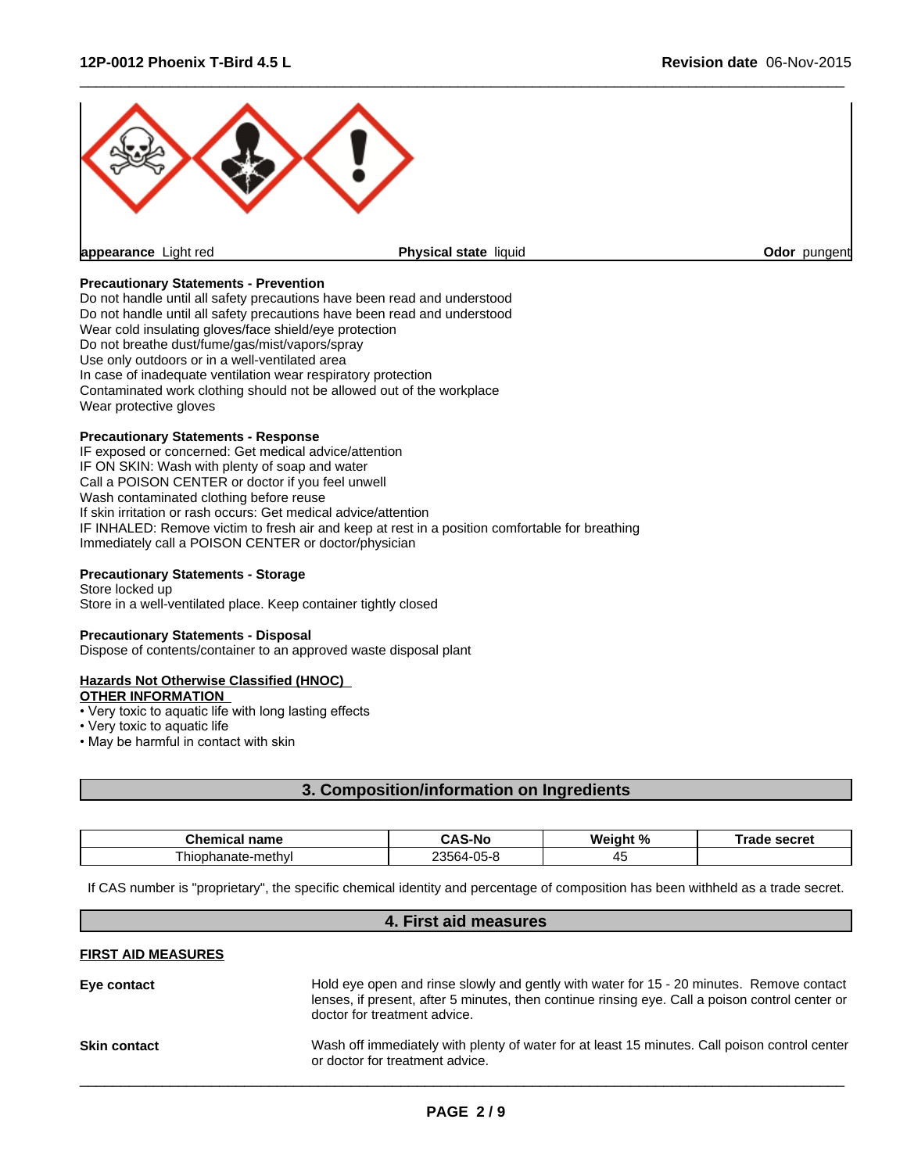

 $\overline{\phantom{a}}$  ,  $\overline{\phantom{a}}$  ,  $\overline{\phantom{a}}$  ,  $\overline{\phantom{a}}$  ,  $\overline{\phantom{a}}$  ,  $\overline{\phantom{a}}$  ,  $\overline{\phantom{a}}$  ,  $\overline{\phantom{a}}$  ,  $\overline{\phantom{a}}$  ,  $\overline{\phantom{a}}$  ,  $\overline{\phantom{a}}$  ,  $\overline{\phantom{a}}$  ,  $\overline{\phantom{a}}$  ,  $\overline{\phantom{a}}$  ,  $\overline{\phantom{a}}$  ,  $\overline{\phantom{a}}$ 

#### **Precautionary Statements - Prevention**

Do not handle until all safety precautions have been read and understood Do not handle until all safety precautions have been read and understood Wear cold insulating gloves/face shield/eye protection Do not breathe dust/fume/gas/mist/vapors/spray Use only outdoors or in a well-ventilated area In case of inadequate ventilation wear respiratory protection Contaminated work clothing should not be allowed out of the workplace Wear protective gloves

#### **Precautionary Statements - Response**

IF exposed or concerned: Get medical advice/attention IF ON SKIN: Wash with plenty of soap and water Call a POISON CENTER or doctor if you feel unwell Wash contaminated clothing before reuse If skin irritation or rash occurs: Get medical advice/attention IF INHALED: Remove victim to fresh air and keep at rest in a position comfortable for breathing Immediately call a POISON CENTER or doctor/physician

#### **Precautionary Statements - Storage**

Store locked up Store in a well-ventilated place. Keep container tightly closed

#### **Precautionary Statements - Disposal**

Dispose of contents/container to an approved waste disposal plant

#### **Hazards Not Otherwise Classified (HNOC)**

**OTHER INFORMATION** 

- Very toxic to aquatic life with long lasting effects
- Very toxic to aquatic life
- May be harmful in contact with skin

# **3. Composition/information on Ingredients**

| Chem<br>------<br>nanie | -NI                   | ۱O,<br>an i with 1<br>м. | cocrot<br>SELI EL |
|-------------------------|-----------------------|--------------------------|-------------------|
| l hiophanate-methyl     | <sup>კ</sup> ნ64-05-ი | 71 H<br>℡                |                   |

If CAS number is "proprietary", the specific chemical identity and percentage of composition has been withheld as a trade secret.

#### **4. First aid measures**

#### **FIRST AID MEASURES**

| Eye contact         | Hold eye open and rinse slowly and gently with water for 15 - 20 minutes. Remove contact<br>lenses, if present, after 5 minutes, then continue rinsing eye. Call a poison control center or<br>doctor for treatment advice. |
|---------------------|-----------------------------------------------------------------------------------------------------------------------------------------------------------------------------------------------------------------------------|
| <b>Skin contact</b> | Wash off immediately with plenty of water for at least 15 minutes. Call poison control center<br>or doctor for treatment advice.                                                                                            |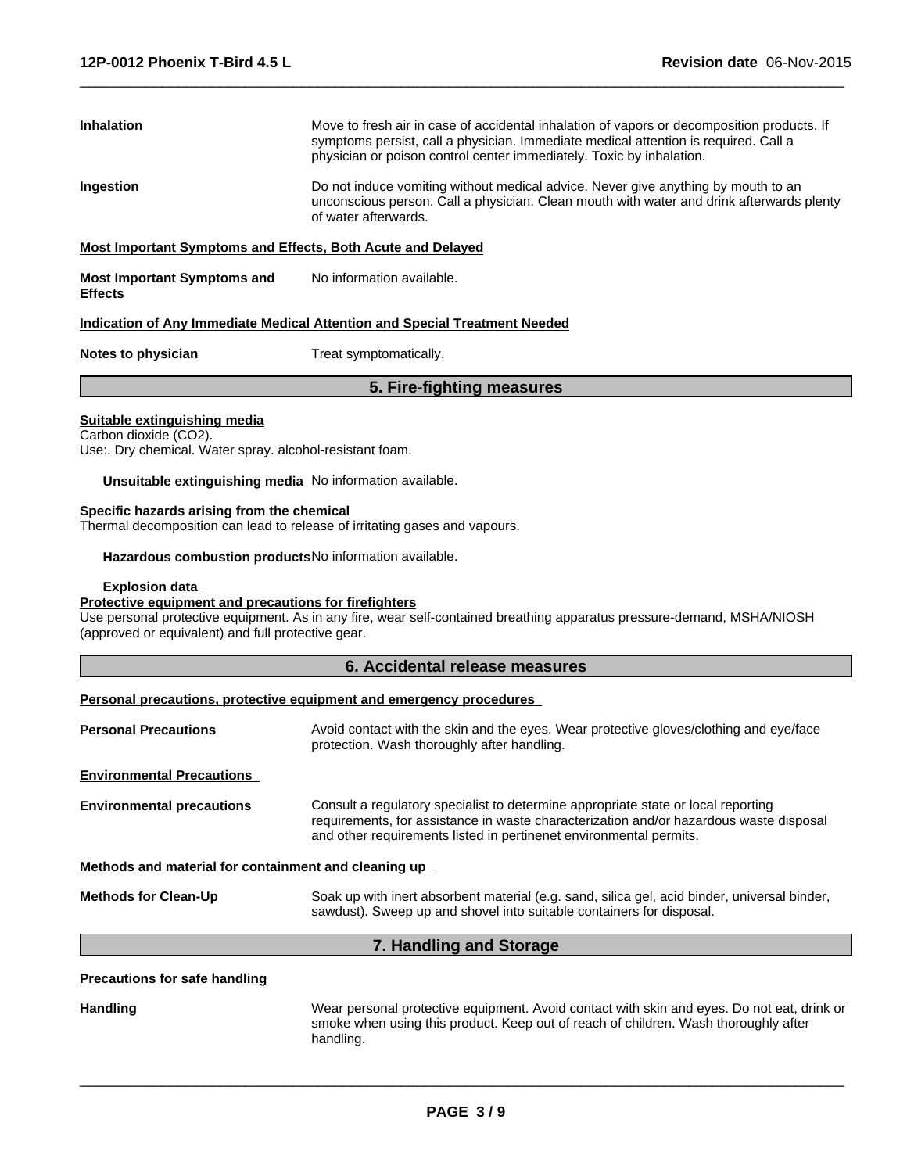| <b>Inhalation</b> | Move to fresh air in case of accidental inhalation of vapors or decomposition products. If<br>symptoms persist, call a physician. Immediate medical attention is required. Call a<br>physician or poison control center immediately. Toxic by inhalation. |
|-------------------|-----------------------------------------------------------------------------------------------------------------------------------------------------------------------------------------------------------------------------------------------------------|
| <b>Ingestion</b>  | Do not induce vomiting without medical advice. Never give anything by mouth to an<br>unconscious person. Call a physician. Clean mouth with water and drink afterwards plenty<br>of water afterwards.                                                     |
|                   | Most Important Symptoms and Effects, Both Acute and Delayed                                                                                                                                                                                               |

 $\overline{\phantom{a}}$  ,  $\overline{\phantom{a}}$  ,  $\overline{\phantom{a}}$  ,  $\overline{\phantom{a}}$  ,  $\overline{\phantom{a}}$  ,  $\overline{\phantom{a}}$  ,  $\overline{\phantom{a}}$  ,  $\overline{\phantom{a}}$  ,  $\overline{\phantom{a}}$  ,  $\overline{\phantom{a}}$  ,  $\overline{\phantom{a}}$  ,  $\overline{\phantom{a}}$  ,  $\overline{\phantom{a}}$  ,  $\overline{\phantom{a}}$  ,  $\overline{\phantom{a}}$  ,  $\overline{\phantom{a}}$ 

**Most Important Symptoms and Effects** No information available.

#### **Indication of Any Immediate Medical Attention and Special Treatment Needed**

**Notes to physician** Treat symptomatically.

#### **5. Fire-fighting measures**

#### **Suitable extinguishing media**

Carbon dioxide (CO2).

Use:. Dry chemical. Water spray. alcohol-resistant foam.

**Unsuitable extinguishing media** No information available.

# **Specific hazards arising from the chemical**

Thermal decomposition can lead to release of irritating gases and vapours.

**Hazardous combustion products**No information available.

#### **Explosion data**

#### **Protective equipment and precautions for firefighters**

Use personal protective equipment. As in any fire, wear self-contained breathing apparatus pressure-demand, MSHA/NIOSH (approved or equivalent) and full protective gear.

#### **6. Accidental release measures**

#### **Personal precautions, protective equipment and emergency procedures**

| requirements, for assistance in waste characterization and/or hazardous waste disposal<br>and other requirements listed in pertinenet environmental permits.<br>Soak up with inert absorbent material (e.g. sand, silica gel, acid binder, universal binder,<br><b>Methods for Clean-Up</b><br>sawdust). Sweep up and shovel into suitable containers for disposal. |
|---------------------------------------------------------------------------------------------------------------------------------------------------------------------------------------------------------------------------------------------------------------------------------------------------------------------------------------------------------------------|
| Methods and material for containment and cleaning up                                                                                                                                                                                                                                                                                                                |
|                                                                                                                                                                                                                                                                                                                                                                     |
| <b>Environmental precautions</b><br>Consult a regulatory specialist to determine appropriate state or local reporting                                                                                                                                                                                                                                               |
| <b>Environmental Precautions</b>                                                                                                                                                                                                                                                                                                                                    |
| <b>Personal Precautions</b><br>Avoid contact with the skin and the eyes. Wear protective gloves/clothing and eye/face<br>protection. Wash thoroughly after handling.                                                                                                                                                                                                |

#### **Precautions for safe handling**

**Handling**

Wear personal protective equipment. Avoid contact with skin and eyes. Do not eat, drink or smoke when using this product. Keep out of reach of children. Wash thoroughly after handling.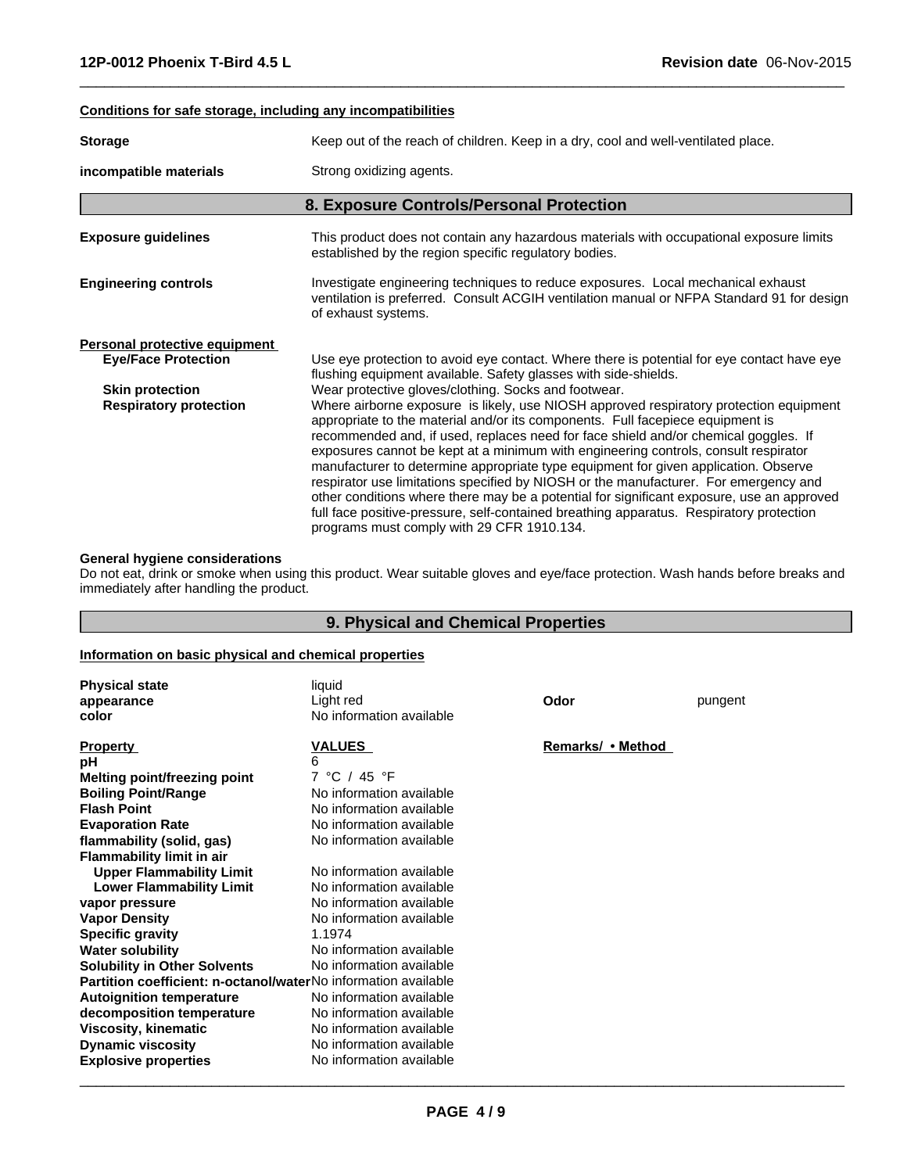# **Conditions for safe storage, including any incompatibilities**

| <b>Storage</b>                | Keep out of the reach of children. Keep in a dry, cool and well-ventilated place.<br>Strong oxidizing agents.                                                                                                                                                                                                                                                                                                                                                                                                                                                                                                                                                                                                                                                               |  |  |
|-------------------------------|-----------------------------------------------------------------------------------------------------------------------------------------------------------------------------------------------------------------------------------------------------------------------------------------------------------------------------------------------------------------------------------------------------------------------------------------------------------------------------------------------------------------------------------------------------------------------------------------------------------------------------------------------------------------------------------------------------------------------------------------------------------------------------|--|--|
| incompatible materials        |                                                                                                                                                                                                                                                                                                                                                                                                                                                                                                                                                                                                                                                                                                                                                                             |  |  |
|                               | 8. Exposure Controls/Personal Protection                                                                                                                                                                                                                                                                                                                                                                                                                                                                                                                                                                                                                                                                                                                                    |  |  |
| <b>Exposure guidelines</b>    | This product does not contain any hazardous materials with occupational exposure limits<br>established by the region specific regulatory bodies.                                                                                                                                                                                                                                                                                                                                                                                                                                                                                                                                                                                                                            |  |  |
| <b>Engineering controls</b>   | Investigate engineering techniques to reduce exposures. Local mechanical exhaust<br>ventilation is preferred. Consult ACGIH ventilation manual or NFPA Standard 91 for design<br>of exhaust systems.                                                                                                                                                                                                                                                                                                                                                                                                                                                                                                                                                                        |  |  |
| Personal protective equipment |                                                                                                                                                                                                                                                                                                                                                                                                                                                                                                                                                                                                                                                                                                                                                                             |  |  |
| <b>Eye/Face Protection</b>    | Use eye protection to avoid eye contact. Where there is potential for eye contact have eye<br>flushing equipment available. Safety glasses with side-shields.                                                                                                                                                                                                                                                                                                                                                                                                                                                                                                                                                                                                               |  |  |
| <b>Skin protection</b>        | Wear protective gloves/clothing. Socks and footwear.                                                                                                                                                                                                                                                                                                                                                                                                                                                                                                                                                                                                                                                                                                                        |  |  |
| <b>Respiratory protection</b> | Where airborne exposure is likely, use NIOSH approved respiratory protection equipment<br>appropriate to the material and/or its components. Full facepiece equipment is<br>recommended and, if used, replaces need for face shield and/or chemical goggles. If<br>exposures cannot be kept at a minimum with engineering controls, consult respirator<br>manufacturer to determine appropriate type equipment for given application. Observe<br>respirator use limitations specified by NIOSH or the manufacturer. For emergency and<br>other conditions where there may be a potential for significant exposure, use an approved<br>full face positive-pressure, self-contained breathing apparatus. Respiratory protection<br>programs must comply with 29 CFR 1910.134. |  |  |

 $\overline{\phantom{a}}$  ,  $\overline{\phantom{a}}$  ,  $\overline{\phantom{a}}$  ,  $\overline{\phantom{a}}$  ,  $\overline{\phantom{a}}$  ,  $\overline{\phantom{a}}$  ,  $\overline{\phantom{a}}$  ,  $\overline{\phantom{a}}$  ,  $\overline{\phantom{a}}$  ,  $\overline{\phantom{a}}$  ,  $\overline{\phantom{a}}$  ,  $\overline{\phantom{a}}$  ,  $\overline{\phantom{a}}$  ,  $\overline{\phantom{a}}$  ,  $\overline{\phantom{a}}$  ,  $\overline{\phantom{a}}$ 

### **General hygiene considerations**

Do not eat, drink or smoke when using this product. Wear suitable gloves and eye/face protection. Wash hands before breaks and immediately after handling the product.

# **9. Physical and Chemical Properties**

### **Information on basic physical and chemical properties**

| <b>Physical state</b><br>appearance<br>color                   | liquid<br>Light red<br>No information available | Odor              | pungent |
|----------------------------------------------------------------|-------------------------------------------------|-------------------|---------|
|                                                                |                                                 |                   |         |
| <b>Property</b>                                                | <b>VALUES</b>                                   | Remarks/ • Method |         |
| рH                                                             | 6                                               |                   |         |
| <b>Melting point/freezing point</b>                            | 7 °C / 45 °F                                    |                   |         |
| <b>Boiling Point/Range</b>                                     | No information available                        |                   |         |
| <b>Flash Point</b>                                             | No information available                        |                   |         |
| <b>Evaporation Rate</b>                                        | No information available                        |                   |         |
| flammability (solid, gas)                                      | No information available                        |                   |         |
| <b>Flammability limit in air</b>                               |                                                 |                   |         |
| <b>Upper Flammability Limit</b>                                | No information available                        |                   |         |
| <b>Lower Flammability Limit</b>                                | No information available                        |                   |         |
| vapor pressure                                                 | No information available                        |                   |         |
| <b>Vapor Density</b>                                           | No information available                        |                   |         |
| <b>Specific gravity</b>                                        | 1.1974                                          |                   |         |
| <b>Water solubility</b>                                        | No information available                        |                   |         |
| <b>Solubility in Other Solvents</b>                            | No information available                        |                   |         |
| Partition coefficient: n-octanol/waterNo information available |                                                 |                   |         |
| <b>Autoignition temperature</b>                                | No information available                        |                   |         |
| decomposition temperature                                      | No information available                        |                   |         |
| Viscosity, kinematic                                           | No information available                        |                   |         |
| <b>Dynamic viscosity</b>                                       | No information available                        |                   |         |
| <b>Explosive properties</b>                                    | No information available                        |                   |         |
|                                                                |                                                 |                   |         |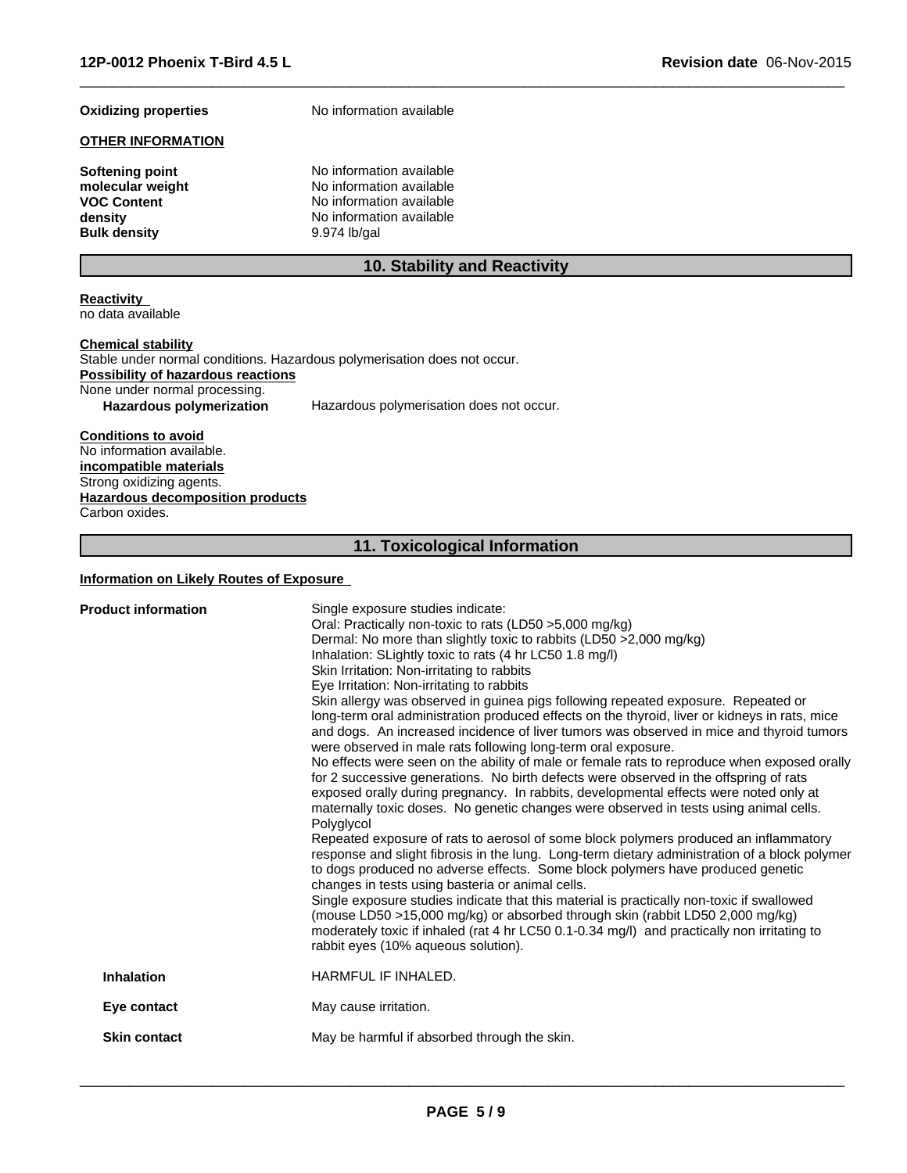#### **OTHER INFORMATION**

**Softening point**<br> **No information available**<br> **No information available**<br> **No information available Bulk density** 

**Oxidizing properties** No information available

**molecular weight** No information available<br> **VOC Content** No information available **VOC Content**<br> **EXECUTE:** No information available<br>
No information available No information available<br>9.974 lb/gal

### **10. Stability and Reactivity**

 $\overline{\phantom{a}}$  ,  $\overline{\phantom{a}}$  ,  $\overline{\phantom{a}}$  ,  $\overline{\phantom{a}}$  ,  $\overline{\phantom{a}}$  ,  $\overline{\phantom{a}}$  ,  $\overline{\phantom{a}}$  ,  $\overline{\phantom{a}}$  ,  $\overline{\phantom{a}}$  ,  $\overline{\phantom{a}}$  ,  $\overline{\phantom{a}}$  ,  $\overline{\phantom{a}}$  ,  $\overline{\phantom{a}}$  ,  $\overline{\phantom{a}}$  ,  $\overline{\phantom{a}}$  ,  $\overline{\phantom{a}}$ 

#### **Reactivity**  no data available

**Chemical stability** Stable under normal conditions. Hazardous polymerisation does not occur. **Possibility of hazardous reactions** None under normal processing. **Hazardous polymerization** Hazardous polymerisation does not occur.

**Conditions to avoid** No information available. **incompatible materials** Strong oxidizing agents. **Hazardous decomposition products** Carbon oxides.

# **11. Toxicological Information**

#### **Information on Likely Routes of Exposure**

| <b>Product information</b> | Single exposure studies indicate:<br>Oral: Practically non-toxic to rats (LD50 >5,000 mg/kg)<br>Dermal: No more than slightly toxic to rabbits (LD50 > 2,000 mg/kg)<br>Inhalation: SLightly toxic to rats (4 hr LC50 1.8 mg/l)<br>Skin Irritation: Non-irritating to rabbits<br>Eye Irritation: Non-irritating to rabbits<br>Skin allergy was observed in guinea pigs following repeated exposure. Repeated or<br>long-term oral administration produced effects on the thyroid, liver or kidneys in rats, mice<br>and dogs. An increased incidence of liver tumors was observed in mice and thyroid tumors<br>were observed in male rats following long-term oral exposure.<br>No effects were seen on the ability of male or female rats to reproduce when exposed orally<br>for 2 successive generations. No birth defects were observed in the offspring of rats<br>exposed orally during pregnancy. In rabbits, developmental effects were noted only at<br>maternally toxic doses. No genetic changes were observed in tests using animal cells.<br>Polyglycol<br>Repeated exposure of rats to aerosol of some block polymers produced an inflammatory<br>response and slight fibrosis in the lung. Long-term dietary administration of a block polymer<br>to dogs produced no adverse effects. Some block polymers have produced genetic<br>changes in tests using basteria or animal cells.<br>Single exposure studies indicate that this material is practically non-toxic if swallowed<br>(mouse LD50 >15,000 mg/kg) or absorbed through skin (rabbit LD50 2,000 mg/kg)<br>moderately toxic if inhaled (rat 4 hr LC50 0.1-0.34 mg/l) and practically non irritating to<br>rabbit eyes (10% aqueous solution). |
|----------------------------|-------------------------------------------------------------------------------------------------------------------------------------------------------------------------------------------------------------------------------------------------------------------------------------------------------------------------------------------------------------------------------------------------------------------------------------------------------------------------------------------------------------------------------------------------------------------------------------------------------------------------------------------------------------------------------------------------------------------------------------------------------------------------------------------------------------------------------------------------------------------------------------------------------------------------------------------------------------------------------------------------------------------------------------------------------------------------------------------------------------------------------------------------------------------------------------------------------------------------------------------------------------------------------------------------------------------------------------------------------------------------------------------------------------------------------------------------------------------------------------------------------------------------------------------------------------------------------------------------------------------------------------------------------------------------------------------------------------------------|
| <b>Inhalation</b>          | HARMFUL IF INHALED.                                                                                                                                                                                                                                                                                                                                                                                                                                                                                                                                                                                                                                                                                                                                                                                                                                                                                                                                                                                                                                                                                                                                                                                                                                                                                                                                                                                                                                                                                                                                                                                                                                                                                                     |
| Eye contact                | May cause irritation.                                                                                                                                                                                                                                                                                                                                                                                                                                                                                                                                                                                                                                                                                                                                                                                                                                                                                                                                                                                                                                                                                                                                                                                                                                                                                                                                                                                                                                                                                                                                                                                                                                                                                                   |
| <b>Skin contact</b>        | May be harmful if absorbed through the skin.                                                                                                                                                                                                                                                                                                                                                                                                                                                                                                                                                                                                                                                                                                                                                                                                                                                                                                                                                                                                                                                                                                                                                                                                                                                                                                                                                                                                                                                                                                                                                                                                                                                                            |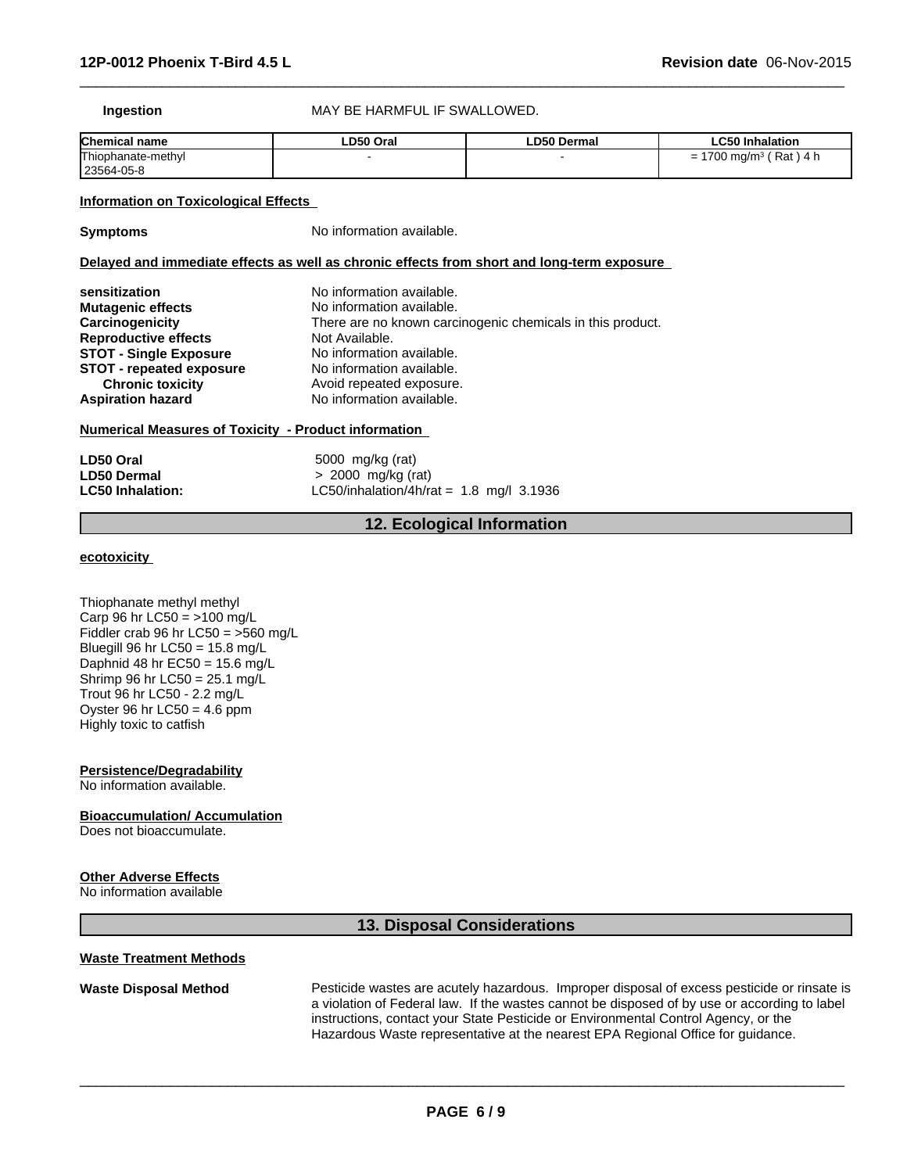#### **Ingestion** MAY BE HARMFUL IF SWALLOWED.

| <b>Chemical name</b> | _D50 Oral | <b>.D50 Dermal</b> | ∟C50 Inhalation                                                      |
|----------------------|-----------|--------------------|----------------------------------------------------------------------|
| Thiophanate-methyl   |           |                    | ′ Rat<br>1700<br>4 h<br>. 00 mg/m $^3\,$<br>$\overline{\phantom{0}}$ |
| 23564-05-8           |           |                    |                                                                      |

 $\overline{\phantom{a}}$  ,  $\overline{\phantom{a}}$  ,  $\overline{\phantom{a}}$  ,  $\overline{\phantom{a}}$  ,  $\overline{\phantom{a}}$  ,  $\overline{\phantom{a}}$  ,  $\overline{\phantom{a}}$  ,  $\overline{\phantom{a}}$  ,  $\overline{\phantom{a}}$  ,  $\overline{\phantom{a}}$  ,  $\overline{\phantom{a}}$  ,  $\overline{\phantom{a}}$  ,  $\overline{\phantom{a}}$  ,  $\overline{\phantom{a}}$  ,  $\overline{\phantom{a}}$  ,  $\overline{\phantom{a}}$ 

#### **Information on Toxicological Effects**

**Symptoms** No information available.

#### **Delayed and immediate effects as well as chronic effects from short and long-term exposure**

| sensitization                   | No information available.                                  |
|---------------------------------|------------------------------------------------------------|
| <b>Mutagenic effects</b>        | No information available.                                  |
| Carcinogenicity                 | There are no known carcinogenic chemicals in this product. |
| <b>Reproductive effects</b>     | Not Available.                                             |
| <b>STOT - Single Exposure</b>   | No information available.                                  |
| <b>STOT - repeated exposure</b> | No information available.                                  |
| <b>Chronic toxicity</b>         | Avoid repeated exposure.                                   |
| <b>Aspiration hazard</b>        | No information available.                                  |

#### **Numerical Measures of Toxicity - Product information**

| LD50 Oral               | 5000 mg/kg (rat)                           |
|-------------------------|--------------------------------------------|
| <b>LD50 Dermal</b>      | > 2000 mg/kg (rat)                         |
| <b>LC50 Inhalation:</b> | LC50/inhalation/4h/rat = $1.8$ mg/l 3.1936 |

# **12. Ecological Information**

#### **ecotoxicity**

Thiophanate methyl methyl Carp 96 hr  $LC50 = 100$  mg/L Fiddler crab 96 hr  $LC50 = 560$  mg/L Bluegill 96 hr LC50 = 15.8 mg/L Daphnid 48 hr  $EC50 = 15.6$  mg/L Shrimp 96 hr LC50 =  $25.1 \text{ mg/L}$ Trout 96 hr LC50 - 2.2 mg/L Oyster 96 hr  $LC50 = 4.6$  ppm Highly toxic to catfish

#### **Persistence/Degradability**

No information available.

#### **Bioaccumulation/ Accumulation**

Does not bioaccumulate.

#### **Other Adverse Effects**

No information available

### **13. Disposal Considerations**

#### **Waste Disposal Method**

Waste Treatment Methods<br>
Waste Disposal Method<br>
a violation of Federal law. If the wastes cannot be disposed of by use or according to label<br>
instructions, contact your State Pesticide or Environmental Control Agency, or t Pesticide wastes are acutely hazardous. Improper disposal of excess pesticide or rinsate is a violation of Federal law. If the wastes cannot be disposed of by use or according to label instructions, contact your State Pesticide or Environmental Control Agency, or the Hazardous Waste representative at the nearest EPA Regional Office for guidance.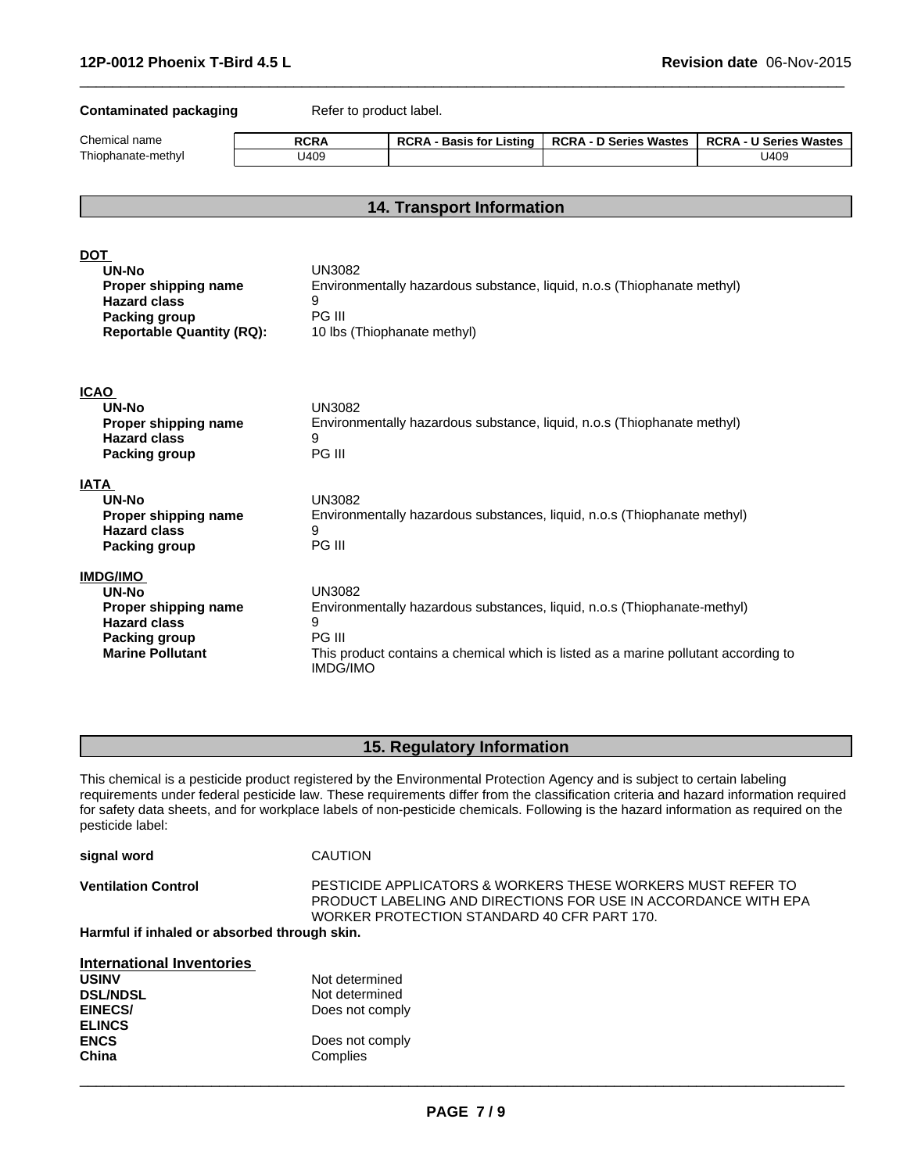### **Contaminated packaging Refer to product label.**

| Chemical<br>' name | <b>RCRA</b> | <b>RCRA</b><br>∟istina<br><b>Basis for</b> | - D Series Wastes<br><b>RCRA-</b> | '' Series Wastes<br>RCRA- |
|--------------------|-------------|--------------------------------------------|-----------------------------------|---------------------------|
| Thiophanate-methyl | U409        |                                            |                                   | U409                      |

 $\overline{\phantom{a}}$  ,  $\overline{\phantom{a}}$  ,  $\overline{\phantom{a}}$  ,  $\overline{\phantom{a}}$  ,  $\overline{\phantom{a}}$  ,  $\overline{\phantom{a}}$  ,  $\overline{\phantom{a}}$  ,  $\overline{\phantom{a}}$  ,  $\overline{\phantom{a}}$  ,  $\overline{\phantom{a}}$  ,  $\overline{\phantom{a}}$  ,  $\overline{\phantom{a}}$  ,  $\overline{\phantom{a}}$  ,  $\overline{\phantom{a}}$  ,  $\overline{\phantom{a}}$  ,  $\overline{\phantom{a}}$ 

# **14. Transport Information**

| <b>DOT</b><br>UN-No<br>Proper shipping name<br><b>Hazard class</b><br>Packing group<br><b>Reportable Quantity (RQ):</b>    | <b>UN3082</b><br>Environmentally hazardous substance, liquid, n.o.s (Thiophanate methyl)<br>9<br>PG III<br>10 lbs (Thiophanate methyl)                                                                             |
|----------------------------------------------------------------------------------------------------------------------------|--------------------------------------------------------------------------------------------------------------------------------------------------------------------------------------------------------------------|
| <b>ICAO</b><br>UN-No<br>Proper shipping name<br><b>Hazard class</b><br><b>Packing group</b>                                | <b>UN3082</b><br>Environmentally hazardous substance, liquid, n.o.s (Thiophanate methyl)<br>9<br>PG III                                                                                                            |
| <b>IATA</b><br>UN-No<br>Proper shipping name<br><b>Hazard class</b><br><b>Packing group</b>                                | <b>UN3082</b><br>Environmentally hazardous substances, liquid, n.o.s (Thiophanate methyl)<br>9<br>PG III                                                                                                           |
| <b>IMDG/IMO</b><br>UN-No<br>Proper shipping name<br><b>Hazard class</b><br><b>Packing group</b><br><b>Marine Pollutant</b> | <b>UN3082</b><br>Environmentally hazardous substances, liquid, n.o.s (Thiophanate-methyl)<br>9<br>PG III<br>This product contains a chemical which is listed as a marine pollutant according to<br><b>IMDG/IMO</b> |

# **15. Regulatory Information**

This chemical is a pesticide product registered by the Environmental Protection Agency and is subject to certain labeling requirements under federal pesticide law. These requirements differ from the classification criteria and hazard information required for safety data sheets, and for workplace labels of non-pesticide chemicals. Following is the hazard information as required on the pesticide label:

| signal word                                  | <b>CAUTION</b>                                                                                                                                                               |
|----------------------------------------------|------------------------------------------------------------------------------------------------------------------------------------------------------------------------------|
| <b>Ventilation Control</b>                   | PESTICIDE APPLICATORS & WORKERS THESE WORKERS MUST REFER TO<br>PRODUCT LABELING AND DIRECTIONS FOR USE IN ACCORDANCE WITH EPA<br>WORKER PROTECTION STANDARD 40 CFR PART 170. |
| Harmful if inhaled or absorbed through skin. |                                                                                                                                                                              |
|                                              |                                                                                                                                                                              |

| <b>International Inventories</b> |                 |  |  |
|----------------------------------|-----------------|--|--|
| <b>USINV</b>                     | Not determined  |  |  |
| <b>DSL/NDSL</b>                  | Not determined  |  |  |
| EINECS/                          | Does not comply |  |  |
| <b>ELINCS</b>                    |                 |  |  |
| <b>ENCS</b>                      | Does not comply |  |  |
| China                            | Complies        |  |  |
|                                  |                 |  |  |
|                                  |                 |  |  |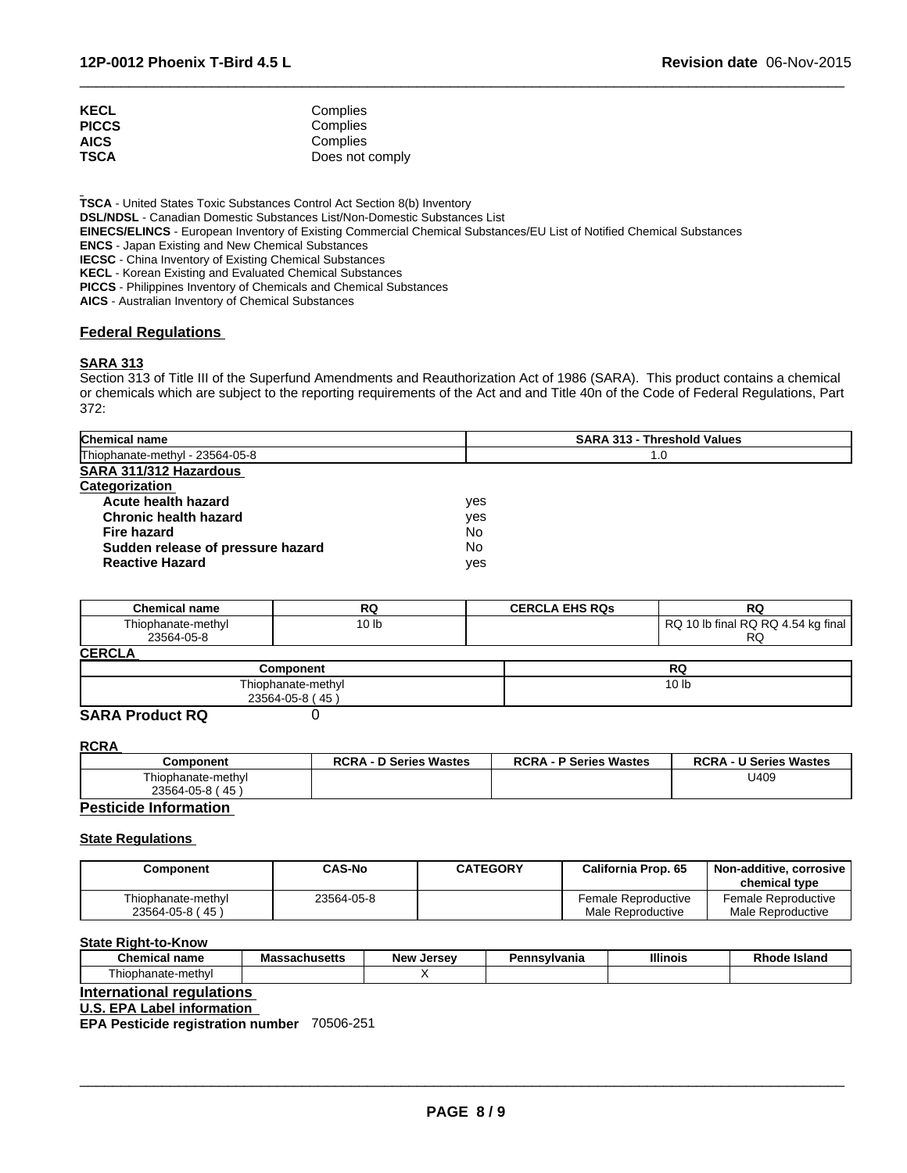| <b>KECL</b>  | Complies        |
|--------------|-----------------|
| <b>PICCS</b> | Complies        |
| <b>AICS</b>  | Complies        |
| <b>TSCA</b>  | Does not comply |

**TSCA** - United States Toxic Substances Control Act Section 8(b) Inventory **DSL/NDSL** - Canadian Domestic Substances List/Non-Domestic Substances List **EINECS/ELINCS** - European Inventory of Existing Commercial Chemical Substances/EU List of Notified Chemical Substances **ENCS** - Japan Existing and New Chemical Substances **IECSC** - China Inventory of Existing Chemical Substances **KECL** - Korean Existing and Evaluated Chemical Substances **PICCS** - Philippines Inventory of Chemicals and Chemical Substances **AICS** - Australian Inventory of Chemical Substances

#### **Federal Regulations**

#### **SARA 313**

Section 313 of Title III of the Superfund Amendments and Reauthorization Act of 1986 (SARA). This product contains a chemical or chemicals which are subject to the reporting requirements of the Act and and Title 40n of the Code of Federal Regulations, Part 372:

 $\overline{\phantom{a}}$  ,  $\overline{\phantom{a}}$  ,  $\overline{\phantom{a}}$  ,  $\overline{\phantom{a}}$  ,  $\overline{\phantom{a}}$  ,  $\overline{\phantom{a}}$  ,  $\overline{\phantom{a}}$  ,  $\overline{\phantom{a}}$  ,  $\overline{\phantom{a}}$  ,  $\overline{\phantom{a}}$  ,  $\overline{\phantom{a}}$  ,  $\overline{\phantom{a}}$  ,  $\overline{\phantom{a}}$  ,  $\overline{\phantom{a}}$  ,  $\overline{\phantom{a}}$  ,  $\overline{\phantom{a}}$ 

| Chemical name                     | <b>SARA 313 - Threshold Values</b> |
|-----------------------------------|------------------------------------|
| Thiophanate-methyl - 23564-05-8   | 1.0                                |
| SARA 311/312 Hazardous            |                                    |
| Categorization                    |                                    |
| Acute health hazard               | ves                                |
| Chronic health hazard             | ves                                |
| Fire hazard                       | No                                 |
| Sudden release of pressure hazard | No                                 |
| <b>Reactive Hazard</b>            | <b>ves</b>                         |

| <b>Chemical name</b>             | RQ           | <b>CERCLA EHS RQs</b> | R                                                          |
|----------------------------------|--------------|-----------------------|------------------------------------------------------------|
| Thiophanate-methyl<br>23564-05-8 | ָ<br>I U I D |                       | ) 10 lb final RQ RQ 4.54 kg final<br><b>RQ</b><br>DC<br>いへ |
| <b>CERCLA</b>                    |              |                       |                                                            |

| -------                                                                        |                       |
|--------------------------------------------------------------------------------|-----------------------|
| ີດmnonent                                                                      | DC.<br>טא             |
| Thiophanate-methyl                                                             | 10 <sub>b</sub><br>AC |
| 45<br>23564<br>$05-8$                                                          |                       |
| the contract of the contract of<br>_____<br>the contract of the con-<br>$\sim$ |                       |

# **SARA Product RQ** 0

#### **RCRA**

| Component                             | <b>RCRA - D Series Wastes</b> | <b>RCRA - P Series Wastes</b> | <b>RCRA - U Series Wastes</b> |
|---------------------------------------|-------------------------------|-------------------------------|-------------------------------|
| Thiophanate-methyl<br>23564-05-8 (45) |                               |                               | U409                          |
| Death-Liab Information                |                               |                               |                               |

# **Pesticide Information**

### **State Regulations**

| Component                             | <b>CAS-No</b> | <b>CATEGORY</b> | California Prop. 65                      | Mon-additive. corrosive<br>chemical type |
|---------------------------------------|---------------|-----------------|------------------------------------------|------------------------------------------|
| Thiophanate-methyl<br>23564-05-8 (45) | 23564-05-8    |                 | Female Reproductive<br>Male Reproductive | Female Reproductive<br>Male Reproductive |

#### **State Right-to-Know**

| Chemical name          | -----<br>.<br>massacnusetts | Jersev<br><b>New</b> | Pennsvlvania | <b>Illinois</b> | Rhodu<br><b>Island</b> |
|------------------------|-----------------------------|----------------------|--------------|-----------------|------------------------|
| -methvl<br>hiophanate- |                             |                      |              |                 |                        |

**International regulations** 

\_\_\_\_\_\_\_\_\_\_\_\_\_\_\_\_\_\_\_\_\_\_\_\_\_\_\_\_\_\_\_\_\_\_\_\_\_\_\_\_\_\_\_\_\_\_\_\_\_\_\_\_\_\_\_\_\_\_\_\_\_\_\_\_\_\_\_\_\_\_\_\_\_\_\_\_\_\_\_\_\_\_\_\_\_\_\_\_\_\_\_\_\_ **U.S. EPA Label information EPA Pesticide registration number** 70506-251